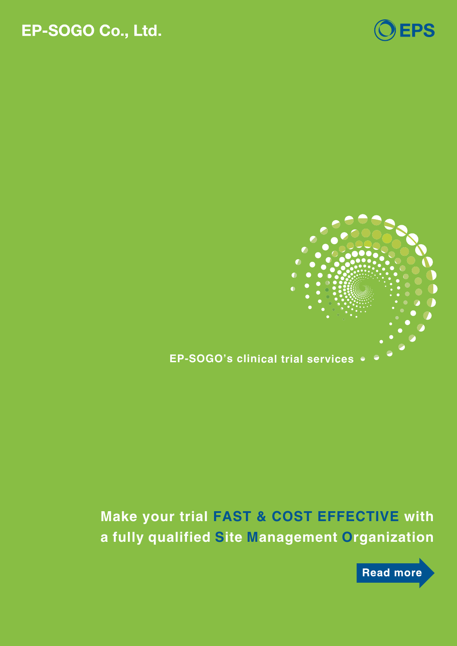## EP-SOGO Co., Ltd.





## **EP-SOGO's clinical trial services**

## **Make your trial FAST & COST EFFECTIVE with a fully qualified Site Management Organization**

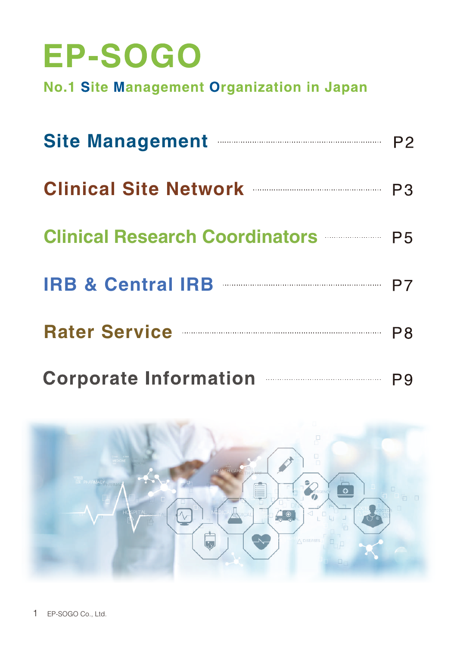## EP-SOGO

No.1 Site Management Organization in Japan

| Site Management <b>Election Site Management</b> P2 |  |
|----------------------------------------------------|--|
| Clinical Site Network <b>Clinical</b> P3           |  |
|                                                    |  |
| IRB & Central IRB <b>Entral IRB</b> P7             |  |
|                                                    |  |

Corporate Information P<sub>9</sub>

P<sub>8</sub>

**Rater Service**

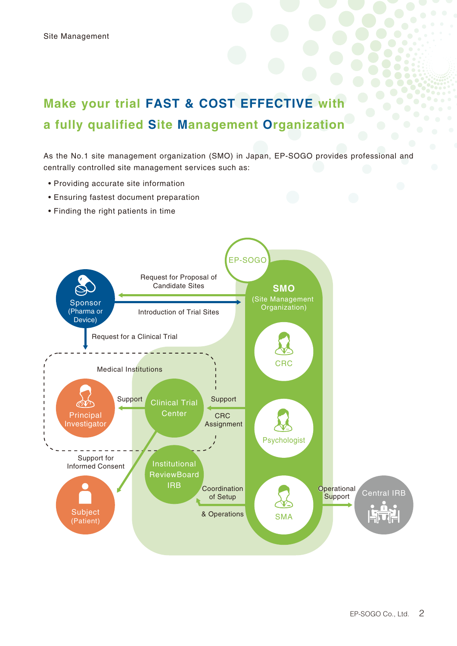## **Make your trial FAST & COST EFFECTIVE with a fully qualified Site Management Organization**

As the No.1 site management organization (SMO) in Japan, EP-SOGO provides professional and centrally controlled site management services such as:

- Providing accurate site information
- Ensuring fastest document preparation
- Finding the right patients in time

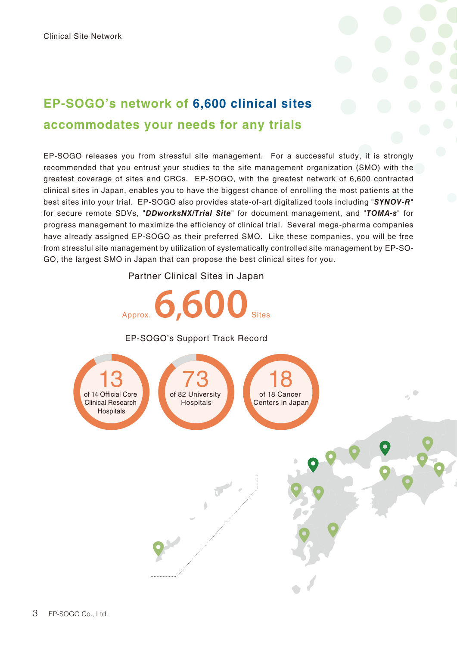

## **EP-SOGO's network of 6,600 clinical sites accommodates your needs for any trials**

EP-SOGO releases you from stressful site management. For a successful study, it is strongly recommended that you entrust your studies to the site management organization (SMO) with the greatest coverage of sites and CRCs. EP-SOGO, with the greatest network of 6,600 contracted clinical sites in Japan, enables you to have the biggest chance of enrolling the most patients at the best sites into your trial. EP-SOGO also provides state-of-art digitalized tools including "*SYNOV-R*" for secure remote SDVs, "*DDworksNX/Trial Site*" for document management, and "*TOMA-s*" for progress management to maximize the efficiency of clinical trial. Several mega-pharma companies have already assigned EP-SOGO as their preferred SMO. Like these companies, you will be free from stressful site management by utilization of systematically controlled site management by EP-SO-GO, the largest SMO in Japan that can propose the best clinical sites for you.

Partner Clinical Sites in Japan

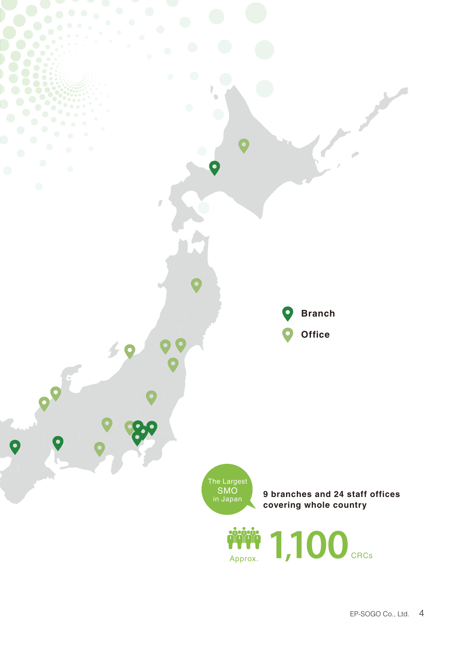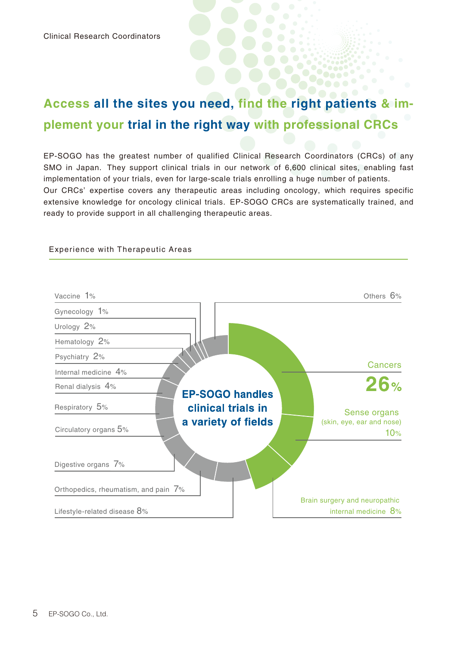## **Access all the sites you need, find the right patients & implement your trial in the right way with professional CRCs**

EP-SOGO has the greatest number of qualified Clinical Research Coordinators (CRCs) of any SMO in Japan. They support clinical trials in our network of 6,600 clinical sites, enabling fast implementation of your trials, even for large-scale trials enrolling a huge number of patients. Our CRCs' expertise covers any therapeutic areas including oncology, which requires specific extensive knowledge for oncology clinical trials. EP-SOGO CRCs are systematically trained, and ready to provide support in all challenging therapeutic areas.



Experience with Therapeutic Areas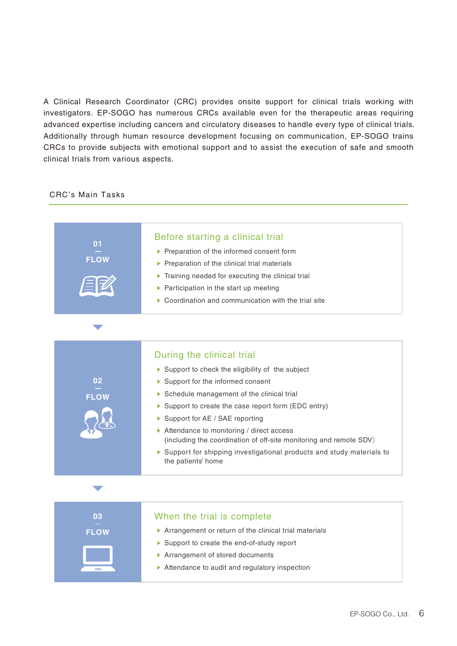A Clinical Research Coordinator (CRC) provides onsite support for clinical trials working with investigators. EP-SOGO has numerous CRCs available even for the therapeutic areas requiring advanced expertise including cancers and circulatory diseases to handle every type of clinical trials. Additionally through human resource development focusing on communication, EP-SOGO trains CRCs to provide subjects with emotional support and to assist the execution of safe and smooth clinical trials from various aspects.

#### CRC's Main Tasks

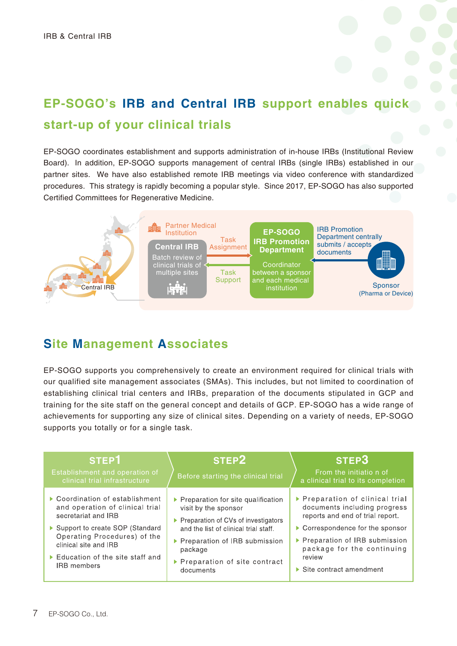# **EP-SOGO's IRB and Central IRB support enables quick**

## **start-up of your clinical trials**

EP-SOGO coordinates establishment and supports administration of in-house IRBs (Institutional Review Board). In addition, EP-SOGO supports management of central IRBs (single IRBs) established in our partner sites. We have also established remote IRB meetings via video conference with standardized procedures. This strategy is rapidly becoming a popular style. Since 2017, EP-SOGO has also supported Certified Committees for Regenerative Medicine.



## **Site Management Associates**

EP-SOGO supports you comprehensively to create an environment required for clinical trials with our qualified site management associates (SMAs). This includes, but not limited to coordination of establishing clinical trial centers and IRBs, preparation of the documents stipulated in GCP and training for the site staff on the general concept and details of GCP. EP-SOGO has a wide range of achievements for supporting any size of clinical sites. Depending on a variety of needs, EP-SOGO supports you totally or for a single task.

| STEP <sub>1</sub><br>Establishment and operation of<br>clinical trial infrastructure | STEP <sub>2</sub><br>Before starting the clinical trial | STEP3<br>From the initiation of<br>a clinical trial to its completion |
|--------------------------------------------------------------------------------------|---------------------------------------------------------|-----------------------------------------------------------------------|
| ▶ Coordination of establishment                                                      | ▶ Preparation for site qualification                    | ▶ Preparation of clinical trial                                       |
| and operation of clinical trial                                                      | visit by the sponsor                                    | documents including progress                                          |
| secretariat and IRB                                                                  | ▶ Preparation of CVs of investigators                   | reports and end of trial report.                                      |
| ▶ Support to create SOP (Standard                                                    | and the list of clinical trial staff.                   | ▶ Correspondence for the sponsor                                      |
| Operating Procedures) of the                                                         | ▶ Preparation of IRB submission                         | ▶ Preparation of IRB submission                                       |
| clinical site and IRB                                                                | package                                                 | package for the continuing                                            |
| $\triangleright$ Education of the site staff and                                     | ▶ Preparation of site contract                          | review                                                                |
| <b>IRB</b> members                                                                   | documents                                               | $\triangleright$ Site contract amendment                              |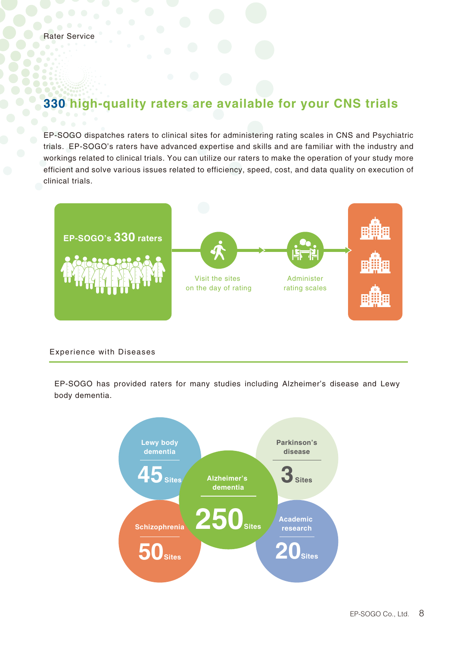### **330 high-quality raters are available for your CNS trials**

EP-SOGO dispatches raters to clinical sites for administering rating scales in CNS and Psychiatric trials. EP-SOGO's raters have advanced expertise and skills and are familiar with the industry and workings related to clinical trials. You can utilize our raters to make the operation of your study more efficient and solve various issues related to efficiency, speed, cost, and data quality on execution of clinical trials.



#### Experience with Diseases

EP-SOGO has provided raters for many studies including Alzheimer's disease and Lewy body dementia.

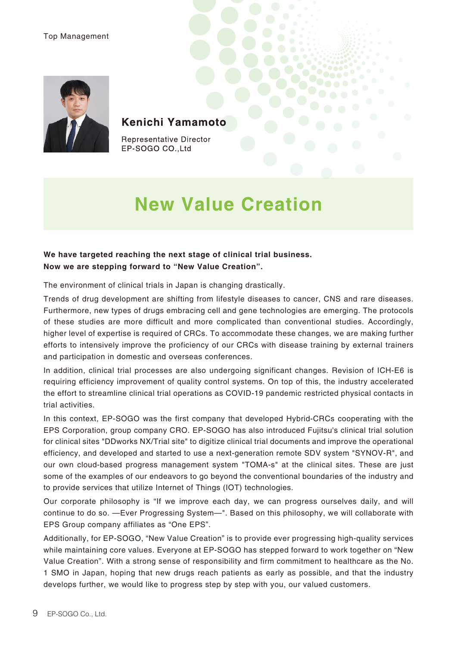#### Top Management



#### Kenichi Yamamoto

**Representative Director** EP-SOGO CO., Ltd

## **New Value Creation**

#### **We have targeted reaching the next stage of clinical trial business. Now we are stepping forward to "New Value Creation".**

The environment of clinical trials in Japan is changing drastically.

Trends of drug development are shifting from lifestyle diseases to cancer, CNS and rare diseases. Furthermore, new types of drugs embracing cell and gene technologies are emerging. The protocols of these studies are more difficult and more complicated than conventional studies. Accordingly, higher level of expertise is required of CRCs. To accommodate these changes, we are making further efforts to intensively improve the proficiency of our CRCs with disease training by external trainers and participation in domestic and overseas conferences.

In addition, clinical trial processes are also undergoing significant changes. Revision of ICH-E6 is requiring efficiency improvement of quality control systems. On top of this, the industry accelerated the effort to streamline clinical trial operations as COVID-19 pandemic restricted physical contacts in trial activities.

In this context, EP-SOGO was the first company that developed Hybrid-CRCs cooperating with the EPS Corporation, group company CRO. EP-SOGO has also introduced Fujitsu's clinical trial solution for clinical sites "DDworks NX/Trial site" to digitize clinical trial documents and improve the operational efficiency, and developed and started to use a next-generation remote SDV system "SYNOV-R", and our own cloud-based progress management system "TOMA-s" at the clinical sites. These are just some of the examples of our endeavors to go beyond the conventional boundaries of the industry and to provide services that utilize Internet of Things (IOT) technologies.

Our corporate philosophy is "If we improve each day, we can progress ourselves daily, and will continue to do so. —Ever Progressing System—". Based on this philosophy, we will collaborate with EPS Group company affiliates as "One EPS".

Additionally, for EP-SOGO, "New Value Creation" is to provide ever progressing high-quality services while maintaining core values. Everyone at EP-SOGO has stepped forward to work together on "New Value Creation". With a strong sense of responsibility and firm commitment to healthcare as the No. 1 SMO in Japan, hoping that new drugs reach patients as early as possible, and that the industry develops further, we would like to progress step by step with you, our valued customers.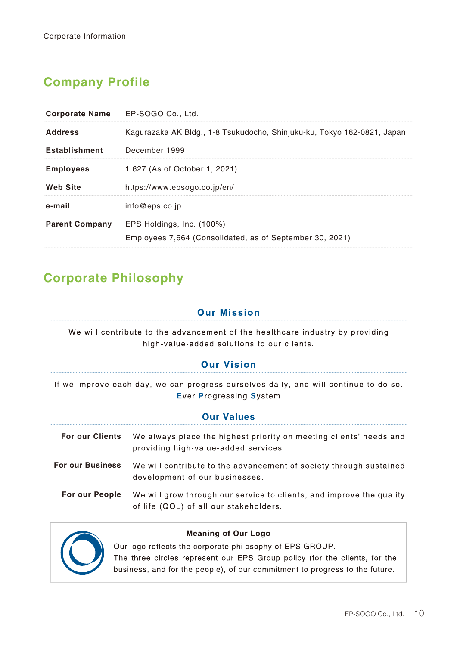## **Company Profile**

| Corporate Name EP-SOGO Co., Ltd. |                                                                                       |
|----------------------------------|---------------------------------------------------------------------------------------|
| <b>Address</b>                   | Kagurazaka AK Bldg., 1-8 Tsukudocho, Shinjuku-ku, Tokyo 162-0821, Japan               |
| <b>Establishment</b>             | December 1999                                                                         |
| <b>Employees</b>                 | 1,627 (As of October 1, 2021)                                                         |
| <b>Web Site</b>                  | https://www.epsogo.co.jp/en/                                                          |
| e-mail                           | info@eps.co.jp                                                                        |
| <b>Parent Company</b>            | EPS Holdings, Inc. (100%)<br>Employees 7,664 (Consolidated, as of September 30, 2021) |

## **Corporate Philosophy**

#### **Our Mission**

We will contribute to the advancement of the healthcare industry by providing high-value-added solutions to our clients.

#### **Our Vision**

If we improve each day, we can progress ourselves daily, and will continue to do so. **Ever Progressing System** 

| <b>Our Values</b>       |                                                                                                                |  |
|-------------------------|----------------------------------------------------------------------------------------------------------------|--|
| <b>For our Clients</b>  | We always place the highest priority on meeting clients' needs and<br>providing high-value-added services.     |  |
| <b>For our Business</b> | We will contribute to the advancement of society through sustained<br>development of our businesses.           |  |
| For our People          | We will grow through our service to clients, and improve the quality<br>of life (QOL) of all our stakeholders. |  |



#### **Meaning of Our Logo**

Our logo reflects the corporate philosophy of EPS GROUP. The three circles represent our EPS Group policy (for the clients, for the business, and for the people), of our commitment to progress to the future.